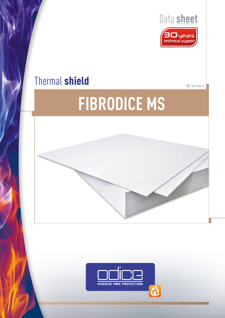

# Thermal shield **Shield GB** / 6.6 / rev. 5

# **FIBRODICE MS**



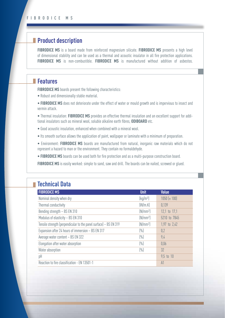# **Product description**

**FIBRODICE MS** is a board made from reinforced magnesium silicate. **FIBRODICE MS** presents a high level of dimensional stability and can be used as a thermal and acoustic insulator in all fire protection applications. **FIBRODICE MS** is non-combustible. **FIBRODICE MS** is manufactured without addition of asbestos.

# **Features**

**FIBRODICE MS** boards present the following characteristics:

- Robust and dimensionally stable material.
- **FIBRODICE MS** does not deteriorate under the effect of water or mould growth and is impervious to insect and vermin attack.

• Thermal insulation: **FIBRODICE MS** provides an effective thermal insulation and an excellent support for additional insulators such as mineral wool, soluble alkaline earth fibres, **ODIBOARD** etc.

- Good acoustic insulation, enhanced when combined with a mineral wool.
- Its smooth surface allows the application of paint, wallpaper or laminate with a minimum of preparation.
- Environment: **FIBRODICE MS** boards are manufactured from natural, inorganic raw materials which do not represent a hazard to man or the environment. They contain no formaldehyde.
- **FIBRODICE MS** boards can be used both for fire protection and as a multi-purpose construction board.

**FIBRODICE MS** is easily worked: simple to sand, saw and drill. The boards can be nailed, screwed or glued.

## **Technical Data**

| <b>FIBRODICE MS</b>                                               | <b>Unit</b>                   | <b>Value</b>     |
|-------------------------------------------------------------------|-------------------------------|------------------|
| Nominal density when dry                                          | $\left[\frac{kq}{m^3}\right]$ | $1050 (\pm 100)$ |
| Thermal conductivity                                              | (W/m.K)                       | 0.139            |
| Bending strength - BS EN 310                                      | (N/mm <sup>2</sup> )          | 12,1 to 17,1     |
| Modulus of elasticity - BS EN 310                                 | (N/mm <sup>2</sup> )          | 5210 to 7845     |
| Tensile strength (perpendicular to the panel surface) - BS EN 319 | (N/mm <sup>2</sup> )          | 1,97 to 2,42     |
| Expansion after 24 hours of immersion - BS EN 317                 | $(\% )$                       | 0,2              |
| Average water content - BS EN 322                                 | $(\% )$                       | 9,4              |
| Elongation after water absorption                                 | $(\% )$                       | 0.06             |
| Water absorption                                                  | $(\% )$                       | 32               |
| pH                                                                |                               | 9,5 to 10        |
| Reaction to fire classification - EN 13501-1                      |                               | A1               |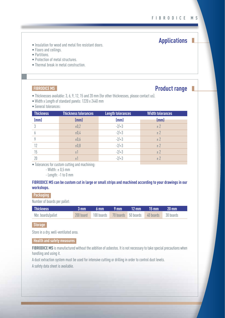**Applications**

#### • Insulation for wood and metal fire resistant doors.

- Floors and ceilings.
- Partitions.
- Protection of metal structures.
- Thermal break in metal construction.

#### **FIBRODICE MS**

### **Product range**

- Thicknesses available: 3, 6, 9, 12, 15 and 20 mm (for other thicknesses, please contact us).
- Width x Length of standard panels: 1220 x 2440 mm
- General tolerances:

| <b>Thickness</b> | <b>Thickness tolerances</b> | <b>Length tolerances</b> | <b>Width tolerances</b> |
|------------------|-----------------------------|--------------------------|-------------------------|
| (mm)             | (mm)                        | (mm)                     | (mm)                    |
| 3                | ±0,2                        | $-2/+3$                  | ± 2                     |
|                  | ±0,4                        | $-2/+3$                  | ± 2                     |
|                  | ±0,6                        | $-2/+3$                  | ± 2                     |
| 12               | ±0,8                        | $-2/+3$                  | ± 2                     |
| 15               | $\pm$ 1                     | $-2/+3$                  | ± 2                     |
| 20               | $\pm$ 1                     | $-2/+3$                  | ± 2                     |
|                  |                             |                          |                         |

• Tolerances for custom cutting and machining:

− Width: ± 0,5 mm

− Length: -1 to 0 mm

#### **FIBRODICE MS can be custom cut in large or small strips and machined according to your drawings in our workshops.**

#### **Packaging**

Number of boards per pallet:

| <b>Thickness</b>   | $\,$ 3 mm $\,$ 6 mm $\,$ 9 mm $\,$ 12 mm $\,$ 15 mm $\,$ 20 mm $^{\dagger}$ |  |  |
|--------------------|-----------------------------------------------------------------------------|--|--|
| Nbr. boards/pallet | 200 board 100 boards 70 boards 50 boards 40 boards 30 boards                |  |  |

#### **Storage**

Store in a dry, well-ventilated area.

 **Health and safety measures**

**FIBRODICE MS** is manufactured without the addition of asbestos. It is not necessary to take special precautions when handling and using it.

A dust extraction system must be used for intensive cutting or drilling in order to control dust levels.

A safety data sheet is available.